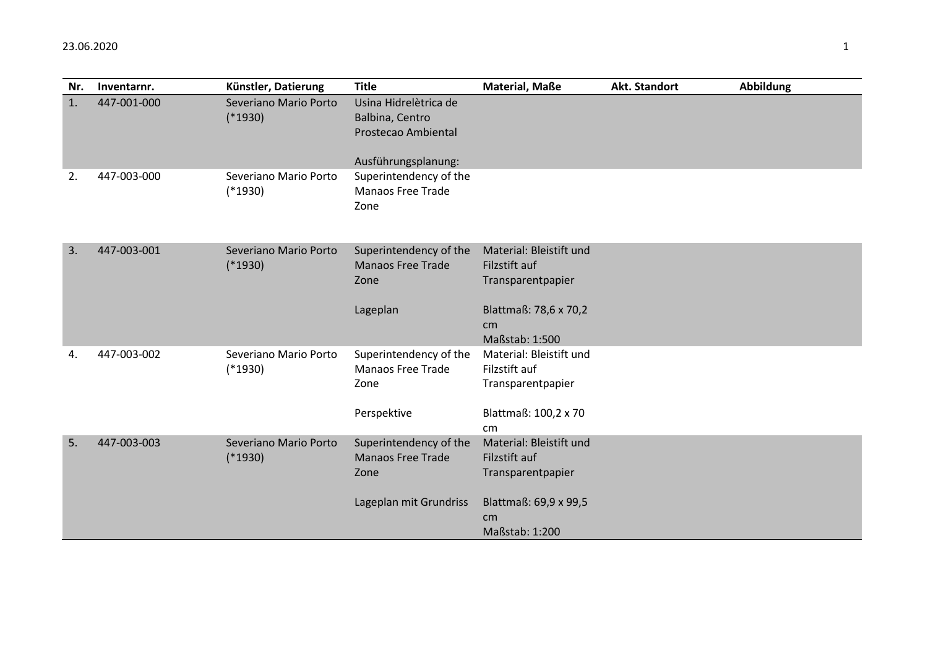| Nr. | Inventarnr. | Künstler, Datierung                | <b>Title</b>                                                                         | Material, Maße                                                                                                 | <b>Akt. Standort</b> | <b>Abbildung</b> |
|-----|-------------|------------------------------------|--------------------------------------------------------------------------------------|----------------------------------------------------------------------------------------------------------------|----------------------|------------------|
| 1.  | 447-001-000 | Severiano Mario Porto<br>$(*1930)$ | Usina Hidrelètrica de<br>Balbina, Centro<br>Prostecao Ambiental                      |                                                                                                                |                      |                  |
| 2.  | 447-003-000 | Severiano Mario Porto<br>$(*1930)$ | Ausführungsplanung:<br>Superintendency of the<br><b>Manaos Free Trade</b><br>Zone    |                                                                                                                |                      |                  |
| 3.  | 447-003-001 | Severiano Mario Porto<br>$(*1930)$ | Superintendency of the<br><b>Manaos Free Trade</b><br>Zone<br>Lageplan               | Material: Bleistift und<br>Filzstift auf<br>Transparentpapier<br>Blattmaß: 78,6 x 70,2<br>cm<br>Maßstab: 1:500 |                      |                  |
| 4.  | 447-003-002 | Severiano Mario Porto<br>$(*1930)$ | Superintendency of the<br><b>Manaos Free Trade</b><br>Zone<br>Perspektive            | Material: Bleistift und<br>Filzstift auf<br>Transparentpapier<br>Blattmaß: 100,2 x 70<br>cm                    |                      |                  |
| 5.  | 447-003-003 | Severiano Mario Porto<br>$(*1930)$ | Superintendency of the<br><b>Manaos Free Trade</b><br>Zone<br>Lageplan mit Grundriss | Material: Bleistift und<br>Filzstift auf<br>Transparentpapier<br>Blattmaß: 69,9 x 99,5<br>cm<br>Maßstab: 1:200 |                      |                  |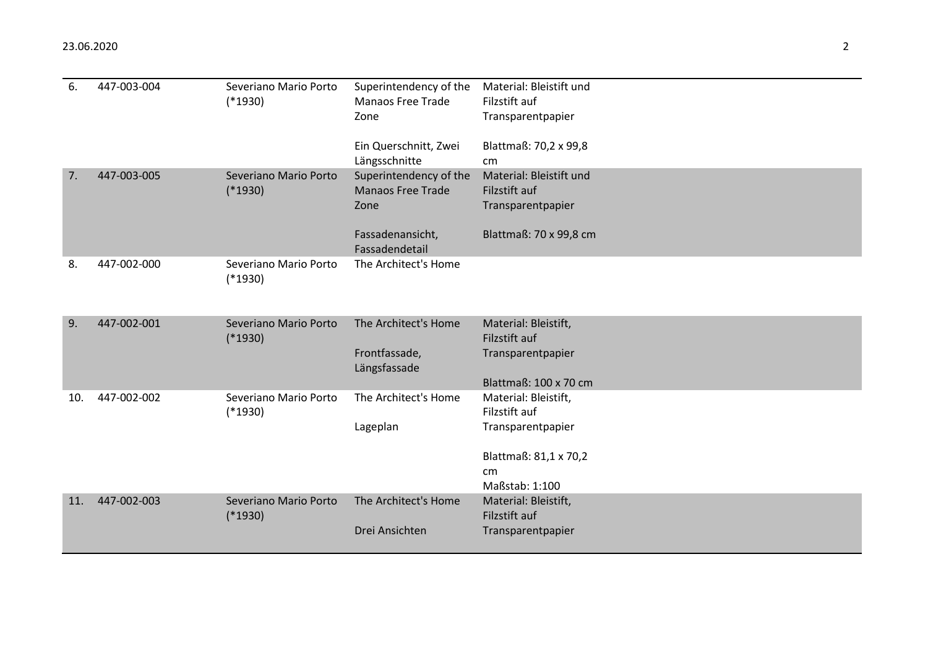| 6.  | 447-003-004 | Severiano Mario Porto<br>$(*1930)$ | Superintendency of the<br><b>Manaos Free Trade</b><br>Zone<br>Ein Querschnitt, Zwei<br>Längsschnitte | Material: Bleistift und<br>Filzstift auf<br>Transparentpapier<br>Blattmaß: 70,2 x 99,8<br>cm <sub>2</sub>   |
|-----|-------------|------------------------------------|------------------------------------------------------------------------------------------------------|-------------------------------------------------------------------------------------------------------------|
| 7.  | 447-003-005 | Severiano Mario Porto<br>$(*1930)$ | Superintendency of the<br><b>Manaos Free Trade</b><br>Zone<br>Fassadenansicht,<br>Fassadendetail     | Material: Bleistift und<br>Filzstift auf<br>Transparentpapier<br>Blattmaß: 70 x 99,8 cm                     |
| 8.  | 447-002-000 | Severiano Mario Porto<br>$(*1930)$ | The Architect's Home                                                                                 |                                                                                                             |
| 9.  | 447-002-001 | Severiano Mario Porto<br>$(*1930)$ | The Architect's Home<br>Frontfassade,<br>Längsfassade                                                | Material: Bleistift,<br>Filzstift auf<br>Transparentpapier<br>Blattmaß: 100 x 70 cm                         |
| 10. | 447-002-002 | Severiano Mario Porto<br>$(*1930)$ | The Architect's Home<br>Lageplan                                                                     | Material: Bleistift,<br>Filzstift auf<br>Transparentpapier<br>Blattmaß: 81,1 x 70,2<br>cm<br>Maßstab: 1:100 |
| 11. | 447-002-003 | Severiano Mario Porto<br>$(*1930)$ | The Architect's Home<br>Drei Ansichten                                                               | Material: Bleistift,<br>Filzstift auf<br>Transparentpapier                                                  |